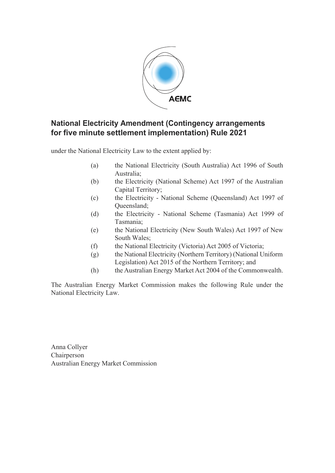

#### **National Electricity Amendment (Contingency arrangements for five minute settlement implementation) Rule 2021**

under the National Electricity Law to the extent applied by:

- (a) the National Electricity (South Australia) Act 1996 of South Australia;
- (b) the Electricity (National Scheme) Act 1997 of the Australian Capital Territory;
- (c) the Electricity National Scheme (Queensland) Act 1997 of Queensland;
- (d) the Electricity National Scheme (Tasmania) Act 1999 of Tasmania;
- (e) the National Electricity (New South Wales) Act 1997 of New South Wales;
- (f) the National Electricity (Victoria) Act 2005 of Victoria;
- (g) the National Electricity (Northern Territory) (National Uniform Legislation) Act 2015 of the Northern Territory; and
- (h) the Australian Energy Market Act 2004 of the Commonwealth.

The Australian Energy Market Commission makes the following Rule under the National Electricity Law.

Anna Collyer Chairperson Australian Energy Market Commission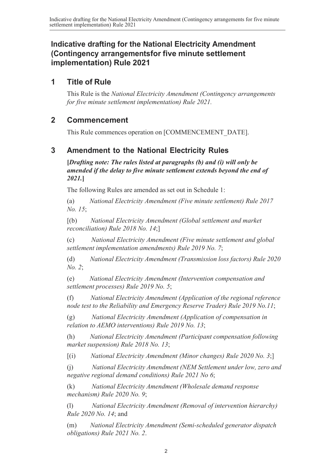#### **Indicative drafting for the National Electricity Amendment (Contingency arrangementsfor five minute settlement implementation) Rule 2021**

#### **1 Title of Rule**

This Rule is the *National Electricity Amendment (Contingency arrangements for five minute settlement implementation) Rule 2021.*

#### **2 Commencement**

This Rule commences operation on [COMMENCEMENT\_DATE].

#### **3 Amendment to the National Electricity Rules**

**[***Drafting note: The rules listed at paragraphs (b) and (i) will only be amended if the delay to five minute settlement extends beyond the end of 2021.***]**

The following Rules are amended as set out in Schedule 1:

(a) *National Electricity Amendment (Five minute settlement) Rule 2017 No. 15*;

[(b) *National Electricity Amendment (Global settlement and market reconciliation) Rule 2018 No. 14*;]

(c) *National Electricity Amendment (Five minute settlement and global settlement implementation amendments) Rule 2019 No. 7*;

(d) *National Electricity Amendment (Transmission loss factors) Rule 2020 No. 2*;

(e) *National Electricity Amendment (Intervention compensation and settlement processes) Rule 2019 No. 5*;

(f) *National Electricity Amendment (Application of the regional reference node test to the Reliability and Emergency Reserve Trader) Rule 2019 No.11*;

(g) *National Electricity Amendment (Application of compensation in relation to AEMO interventions) Rule 2019 No. 13*;

(h) *National Electricity Amendment (Participant compensation following market suspension) Rule 2018 No. 13*;

[(i) *National Electricity Amendment (Minor changes) Rule 2020 No. 3*;]

(j) *National Electricity Amendment (NEM Settlement under low, zero and negative regional demand conditions) Rule 2021 No 6*;

(k) *National Electricity Amendment (Wholesale demand response mechanism) Rule 2020 No. 9*;

(l) *National Electricity Amendment (Removal of intervention hierarchy) Rule 2020 No. 14*; and

(m) *National Electricity Amendment (Semi-scheduled generator dispatch obligations) Rule 2021 No. 2*.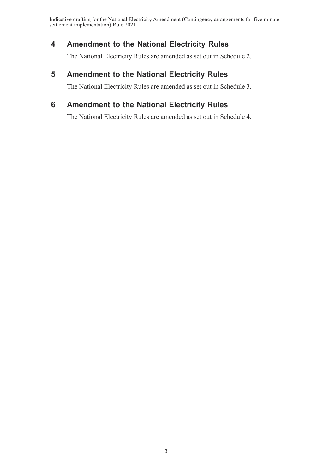## <span id="page-2-0"></span>**4 Amendment to the National Electricity Rules**

The National Electricity Rules are amended as set out in [Schedule](#page-3-0) 2.

#### **5 Amendment to the National Electricity Rules**

The National Electricity Rules are amended as set out in [Schedule](#page-7-0) 3.

# **6 Amendment to the National Electricity Rules**

The National Electricity Rules are amended as set out in [Schedule](#page-9-0) 4.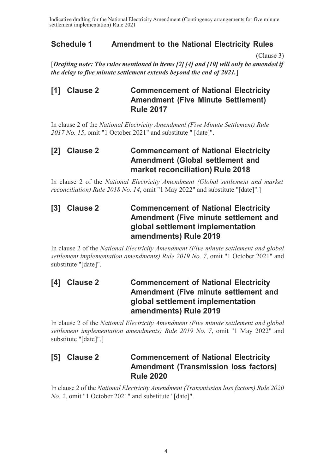#### <span id="page-3-0"></span>**Schedule 1 Amendment to the National Electricity Rules**

[\(Clause 3\)](#page-2-0)

[*Drafting note: The rules mentioned in items [2] [4] and [10] will only be amended if the delay to five minute settlement extends beyond the end of 2021.*]

#### **[1] Clause 2 Commencement of National Electricity Amendment (Five Minute Settlement) Rule 2017**

In clause 2 of the *National Electricity Amendment (Five Minute Settlement) Rule 2017 No. 15*, omit "1 October 2021" and substitute " [date]".

#### **[2] Clause 2 Commencement of National Electricity Amendment (Global settlement and market reconciliation) Rule 2018**

In clause 2 of the *National Electricity Amendment (Global settlement and market reconciliation) Rule 2018 No. 14*, omit "1 May 2022" and substitute "[date]".]

#### **[3] Clause 2 Commencement of National Electricity Amendment (Five minute settlement and global settlement implementation amendments) Rule 2019**

In clause 2 of the *National Electricity Amendment (Five minute settlement and global settlement implementation amendments) Rule 2019 No. 7*, omit "1 October 2021" and substitute "[date]".

#### **[4] Clause 2 Commencement of National Electricity Amendment (Five minute settlement and global settlement implementation amendments) Rule 2019**

In clause 2 of the *National Electricity Amendment (Five minute settlement and global settlement implementation amendments) Rule 2019 No. 7*, omit "1 May 2022" and substitute "[date]".]

#### **[5] Clause 2 Commencement of National Electricity Amendment (Transmission loss factors) Rule 2020**

In clause 2 of the *National Electricity Amendment (Transmission loss factors) Rule 2020 No. 2*, omit "1 October 2021" and substitute "[date]".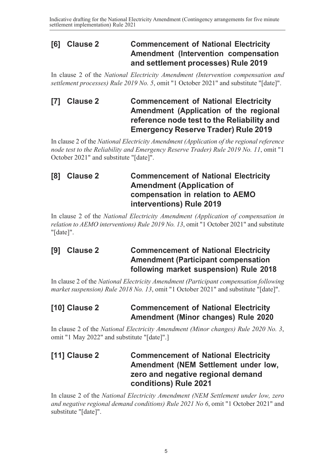#### **[6] Clause 2 Commencement of National Electricity Amendment (Intervention compensation and settlement processes) Rule 2019**

In clause 2 of the *National Electricity Amendment (Intervention compensation and settlement processes) Rule 2019 No. 5*, omit "1 October 2021" and substitute "[date]".

### **[7] Clause 2 Commencement of National Electricity Amendment (Application of the regional reference node test to the Reliability and Emergency Reserve Trader) Rule 2019**

In clause 2 of the *National Electricity Amendment (Application of the regional reference node test to the Reliability and Emergency Reserve Trader) Rule 2019 No. 11*, omit "1 October 2021" and substitute "[date]".

# **[8] Clause 2 Commencement of National Electricity Amendment (Application of compensation in relation to AEMO interventions) Rule 2019**

In clause 2 of the *National Electricity Amendment (Application of compensation in relation to AEMO interventions) Rule 2019 No. 13*, omit "1 October 2021" and substitute "[date]".

#### **[9] Clause 2 Commencement of National Electricity Amendment (Participant compensation following market suspension) Rule 2018**

In clause 2 of the *National Electricity Amendment (Participant compensation following market suspension) Rule 2018 No. 13*, omit "1 October 2021" and substitute "[date]".

#### **[10] Clause 2 Commencement of National Electricity Amendment (Minor changes) Rule 2020**

In clause 2 of the *National Electricity Amendment (Minor changes) Rule 2020 No. 3*, omit "1 May 2022" and substitute "[date]".]

#### **[11] Clause 2 Commencement of National Electricity Amendment (NEM Settlement under low, zero and negative regional demand conditions) Rule 2021**

In clause 2 of the *National Electricity Amendment (NEM Settlement under low, zero and negative regional demand conditions) Rule 2021 No 6*, omit "1 October 2021" and substitute "[date]".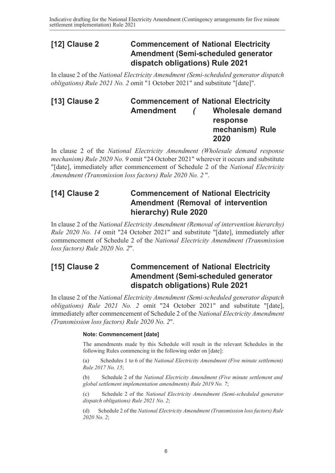#### **[12] Clause 2 Commencement of National Electricity Amendment (Semi-scheduled generator dispatch obligations) Rule 2021**

In clause 2 of the *National Electricity Amendment (Semi-scheduled generator dispatch obligations) Rule 2021 No. 2* omit "1 October 2021" and substitute "[date]".

#### **[13] Clause 2 Commencement of National Electricity Amendment** *(* **Wholesale demand response mechanism) Rule 2020**

In clause 2 of the *National Electricity Amendment (Wholesale demand response mechanism) Rule 2020 No. 9* omit "24 October 2021" wherever it occurs and substitute "[date], immediately after commencement of Schedule 2 of the *National Electricity Amendment (Transmission loss factors) Rule 2020 No. 2* ".

#### **[14] Clause 2 Commencement of National Electricity Amendment (Removal of intervention hierarchy) Rule 2020**

In clause 2 of the *National Electricity Amendment (Removal of intervention hierarchy) Rule 2020 No. 14* omit "24 October 2021" and substitute "[date], immediately after commencement of Schedule 2 of the *National Electricity Amendment (Transmission loss factors) Rule 2020 No. 2*".

#### **[15] Clause 2 Commencement of National Electricity Amendment (Semi-scheduled generator dispatch obligations) Rule 2021**

In clause 2 of the *National Electricity Amendment (Semi-scheduled generator dispatch obligations) Rule 2021 No. 2* omit "24 October 2021" and substitute "[date], immediately after commencement of Schedule 2 of the *National Electricity Amendment (Transmission loss factors) Rule 2020 No. 2*".

#### **Note: Commencement [date]**

The amendments made by this Schedule will result in the relevant Schedules in the following Rules commencing in the following order on [date]:

(a) Schedules 1 to 6 of the *National Electricity Amendment (Five minute settlement) Rule 2017 No. 15*;

(b) Schedule 2 of the *National Electricity Amendment (Five minute settlement and global settlement implementation amendments) Rule 2019 No. 7*;

(c) Schedule 2 of the *National Electricity Amendment (Semi-scheduled generator dispatch obligations) Rule 2021 No. 2*;

(d) Schedule 2 of the *National Electricity Amendment (Transmission loss factors) Rule 2020 No. 2*;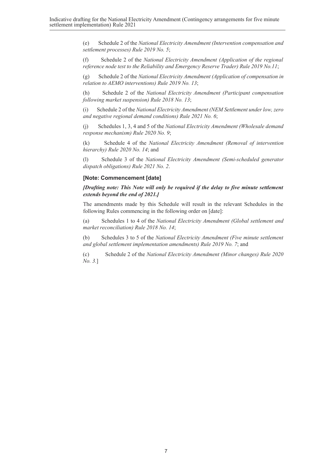(e) Schedule 2 of the *National Electricity Amendment (Intervention compensation and settlement processes) Rule 2019 No. 5*;

(f) Schedule 2 of the *National Electricity Amendment (Application of the regional reference node test to the Reliability and Emergency Reserve Trader) Rule 2019 No.11*;

(g) Schedule 2 of the *National Electricity Amendment (Application of compensation in relation to AEMO interventions) Rule 2019 No. 13*;

(h) Schedule 2 of the *National Electricity Amendment (Participant compensation following market suspension) Rule 2018 No. 13*;

(i) Schedule 2 of the *National Electricity Amendment (NEM Settlement under low, zero and negative regional demand conditions) Rule 2021 No. 6*;

(j) Schedules 1, 3, 4 and 5 of the *National Electricity Amendment (Wholesale demand response mechanism) Rule 2020 No. 9*;

(k) Schedule 4 of the *National Electricity Amendment (Removal of intervention hierarchy) Rule 2020 No. 14*; and

(l) Schedule 3 of the *National Electricity Amendment (Semi-scheduled generator dispatch obligations) Rule 2021 No. 2*.

#### **[Note: Commencement [date]**

*[Drafting note: This Note will only be required if the delay to five minute settlement extends beyond the end of 2021.]*

The amendments made by this Schedule will result in the relevant Schedules in the following Rules commencing in the following order on [date]:

(a) Schedules 1 to 4 of the *National Electricity Amendment (Global settlement and market reconciliation) Rule 2018 No. 14*;

(b) Schedules 3 to 5 of the *National Electricity Amendment (Five minute settlement and global settlement implementation amendments) Rule 2019 No. 7*; and

(c) Schedule 2 of the *National Electricity Amendment (Minor changes) Rule 2020 No. 3.*]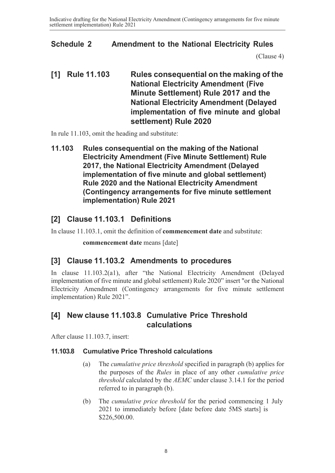#### <span id="page-7-0"></span>**Schedule 2 Amendment to the National Electricity Rules**

[\(Clause 4\)](#page-2-0)

**[1] Rule 11.103 Rules consequential on the making of the National Electricity Amendment (Five Minute Settlement) Rule 2017 and the National Electricity Amendment (Delayed implementation of five minute and global settlement) Rule 2020**

In rule 11.103, omit the heading and substitute:

**11.103 Rules consequential on the making of the National Electricity Amendment (Five Minute Settlement) Rule 2017, the National Electricity Amendment (Delayed implementation of five minute and global settlement) Rule 2020 and the National Electricity Amendment (Contingency arrangements for five minute settlement implementation) Rule 2021**

# **[2] Clause 11.103.1 Definitions**

In clause 11.103.1, omit the definition of **commencement date** and substitute:

**commencement date** means [date]

#### **[3] Clause 11.103.2 Amendments to procedures**

In clause 11.103.2(a1), after "the National Electricity Amendment (Delayed implementation of five minute and global settlement) Rule 2020" insert "or the National Electricity Amendment (Contingency arrangements for five minute settlement implementation) Rule 2021".

#### **[4] New clause 11.103.8 Cumulative Price Threshold calculations**

After clause 11.103.7, insert:

#### **11.103.8 Cumulative Price Threshold calculations**

- (a) The *cumulative price threshold* specified in paragraph (b) applies for the purposes of the *Rules* in place of any other *cumulative price threshold* calculated by the *AEMC* under clause 3.14.1 for the period referred to in paragraph (b).
- (b) The *cumulative price threshold* for the period commencing 1 July 2021 to immediately before [date before date 5MS starts] is \$226,500.00.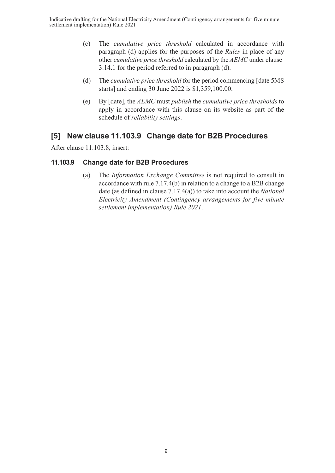- (c) The *cumulative price threshold* calculated in accordance with paragraph (d) applies for the purposes of the *Rules* in place of any other *cumulative price threshold* calculated by the *AEMC* under clause 3.14.1 for the period referred to in paragraph (d).
- (d) The *cumulative price threshold* for the period commencing [date 5MS starts] and ending 30 June 2022 is \$1,359,100.00.
- (e) By [date], the *AEMC* must *publish* the *cumulative price thresholds* to apply in accordance with this clause on its website as part of the schedule of *reliability settings*.

#### **[5] New clause 11.103.9 Change date for B2B Procedures**

After clause 11.103.8, insert:

#### **11.103.9 Change date for B2B Procedures**

(a) The *Information Exchange Committee* is not required to consult in accordance with rule 7.17.4(b) in relation to a change to a B2B change date (as defined in clause 7.17.4(a)) to take into account the *National Electricity Amendment (Contingency arrangements for five minute settlement implementation) Rule 2021*.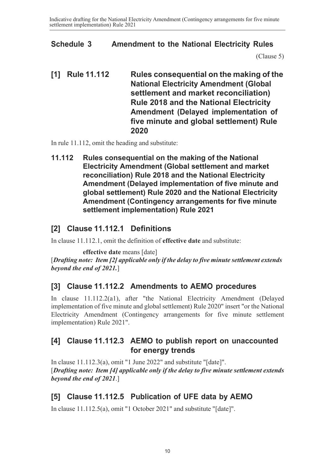#### <span id="page-9-0"></span>**Schedule 3 Amendment to the National Electricity Rules**

[\(Clause 5\)](#page-2-0)

**[1] Rule 11.112 Rules consequential on the making of the National Electricity Amendment (Global settlement and market reconciliation) Rule 2018 and the National Electricity Amendment (Delayed implementation of five minute and global settlement) Rule 2020**

In rule 11.112, omit the heading and substitute:

**11.112 Rules consequential on the making of the National Electricity Amendment (Global settlement and market reconciliation) Rule 2018 and the National Electricity Amendment (Delayed implementation of five minute and global settlement) Rule 2020 and the National Electricity Amendment (Contingency arrangements for five minute settlement implementation) Rule 2021**

# **[2] Clause 11.112.1 Definitions**

In clause 11.112.1, omit the definition of **effective date** and substitute:

**effective date** means [date]

[*Drafting note: Item [2] applicable only if the delay to five minute settlement extends beyond the end of 2021.*]

#### **[3] Clause 11.112.2 Amendments to AEMO procedures**

In clause 11.112.2(a1), after "the National Electricity Amendment (Delayed implementation of five minute and global settlement) Rule 2020" insert "or the National Electricity Amendment (Contingency arrangements for five minute settlement implementation) Rule 2021".

#### **[4] Clause 11.112.3 AEMO to publish report on unaccounted for energy trends**

In clause 11.112.3(a), omit "1 June 2022" and substitute "[date]". [*Drafting note: Item [4] applicable only if the delay to five minute settlement extends beyond the end of 2021*.]

#### **[5] Clause 11.112.5 Publication of UFE data by AEMO**

In clause 11.112.5(a), omit "1 October 2021" and substitute "[date]".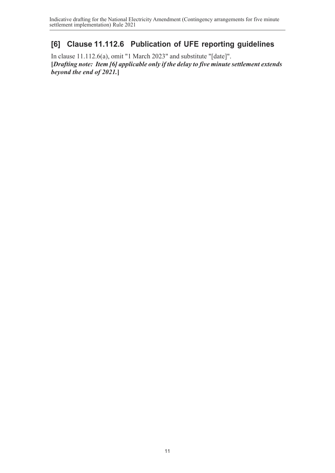# **[6] Clause 11.112.6 Publication of UFE reporting guidelines**

In clause 11.112.6(a), omit "1 March 2023" and substitute "[date]". **[***Drafting note: Item [6] applicable only if the delay to five minute settlement extends beyond the end of 2021.***]**